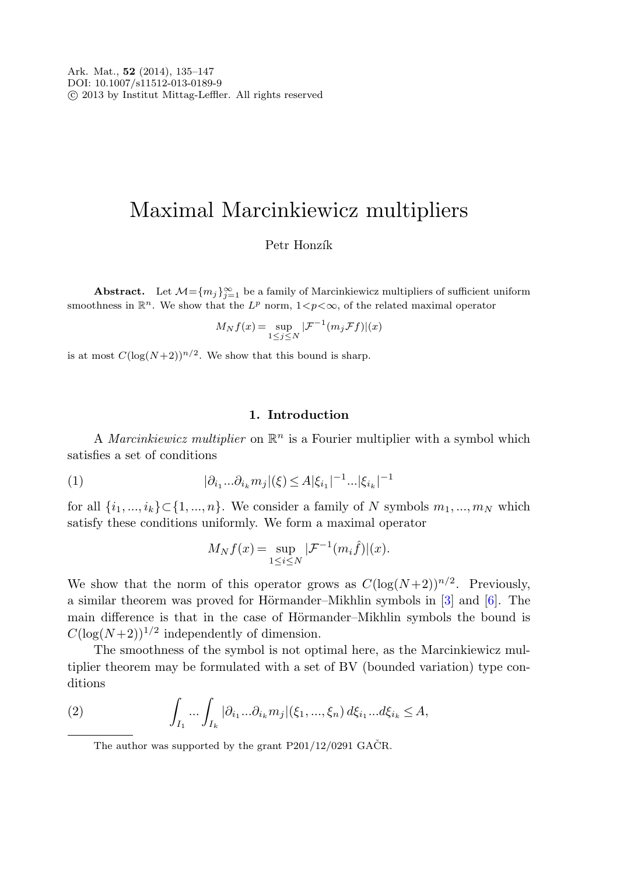# Maximal Marcinkiewicz multipliers

# Petr Honzík

**Abstract.** Let  $M = \{m_j\}_{j=1}^{\infty}$  be a family of Marcinkiewicz multipliers of sufficient uniform smoothness in  $\mathbb{R}^n$ . We show that the  $L^p$  norm,  $1 < p < \infty$ , of the related maximal operator

$$
M_N f(x) = \sup_{1 \le j \le N} |\mathcal{F}^{-1}(m_j \mathcal{F}f)|(x)
$$

is at most  $C(\log(N+2))^{n/2}$ . We show that this bound is sharp.

## **1. Introduction**

A Marcinkiewicz multiplier on  $\mathbb{R}^n$  is a Fourier multiplier with a symbol which satisfies a set of conditions

(1) 
$$
|\partial_{i_1}...\partial_{i_k}m_j|(\xi) \le A|\xi_{i_1}|^{-1}...|\xi_{i_k}|^{-1}
$$

for all  $\{i_1, ..., i_k\} \subset \{1, ..., n\}$ . We consider a family of N symbols  $m_1, ..., m_N$  which satisfy these conditions uniformly. We form a maximal operator

$$
M_N f(x) = \sup_{1 \le i \le N} |\mathcal{F}^{-1}(m_i \hat{f})|(x).
$$

We show that the norm of this operator grows as  $C(\log(N+2))^{n/2}$ . Previously, a similar theorem was proved for Hörmander–Mikhlin symbols in  $[3]$  $[3]$  and  $[6]$  $[6]$ . The main difference is that in the case of Hörmander–Mikhlin symbols the bound is  $C(\log(N+2))^{1/2}$  independently of dimension.

The smoothness of the symbol is not optimal here, as the Marcinkiewicz multiplier theorem may be formulated with a set of BV (bounded variation) type conditions

(2) 
$$
\int_{I_1} \dots \int_{I_k} |\partial_{i_1} \dots \partial_{i_k} m_j|(\xi_1, ..., \xi_n) d\xi_{i_1} ... d\xi_{i_k} \leq A,
$$

The author was supported by the grant  $P201/12/0291$  GACR.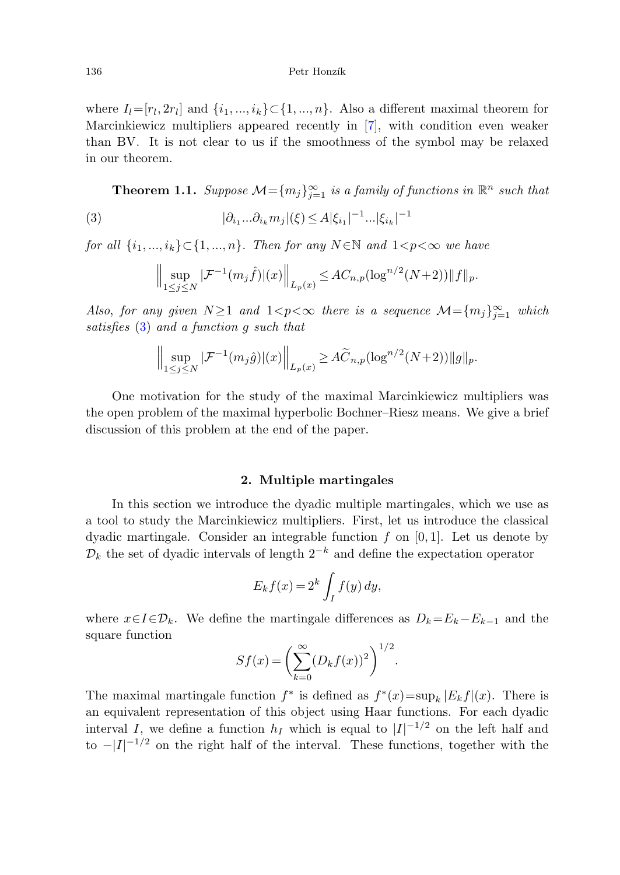<span id="page-1-0"></span>where  $I_l=[r_l, 2r_l]$  and  $\{i_1, ..., i_k\}\subset\{1, ..., n\}$ . Also a different maximal theorem for Marcinkiewicz multipliers appeared recently in [[7\]](#page-12-2), with condition even weaker than BV. It is not clear to us if the smoothness of the symbol may be relaxed in our theorem.

**Theorem 1.1.** Suppose  $\mathcal{M} = \{m_j\}_{j=1}^{\infty}$  is a family of functions in  $\mathbb{R}^n$  such that

(3) 
$$
|\partial_{i_1}...\partial_{i_k}m_j|(\xi) \le A|\xi_{i_1}|^{-1}...|\xi_{i_k}|^{-1}
$$

for all  $\{i_1, ..., i_k\} \subset \{1, ..., n\}$ . Then for any  $N \in \mathbb{N}$  and  $1 < p < \infty$  we have

$$
\Big\|\sup_{1\leq j\leq N}|\mathcal{F}^{-1}(m_j\hat{f})|(x)\Big\|_{L_p(x)}\leq AC_{n,p}(\log^{n/2}(N+2))\|f\|_p.
$$

Also, for any given  $N \geq 1$  and  $1 < p < \infty$  there is a sequence  $\mathcal{M} = \{m_j\}_{j=1}^{\infty}$  which satisfies ([3\)](#page-1-0) and a function g such that

$$
\Big\|\sup_{1\leq j\leq N}|\mathcal{F}^{-1}(m_j\hat{g})|(x)\Big\|_{L_p(x)}\geq A\widetilde{C}_{n,p}(\log^{n/2}(N+2))\|g\|_p.
$$

One motivation for the study of the maximal Marcinkiewicz multipliers was the open problem of the maximal hyperbolic Bochner–Riesz means. We give a brief discussion of this problem at the end of the paper.

## **2. Multiple martingales**

In this section we introduce the dyadic multiple martingales, which we use as a tool to study the Marcinkiewicz multipliers. First, let us introduce the classical dyadic martingale. Consider an integrable function  $f$  on [0, 1]. Let us denote by  $\mathcal{D}_k$  the set of dyadic intervals of length  $2^{-k}$  and define the expectation operator

$$
E_k f(x) = 2^k \int_I f(y) \, dy,
$$

where  $x \in I \in \mathcal{D}_k$ . We define the martingale differences as  $D_k = E_k - E_{k-1}$  and the square function

$$
Sf(x) = \left(\sum_{k=0}^{\infty} (D_k f(x))^2\right)^{1/2}.
$$

The maximal martingale function  $f^*$  is defined as  $f^*(x) = \sup_k |E_k f|(x)$ . There is an equivalent representation of this object using Haar functions. For each dyadic interval I, we define a function  $h_I$  which is equal to  $|I|^{-1/2}$  on the left half and to  $-|I|^{-1/2}$  on the right half of the interval. These functions, together with the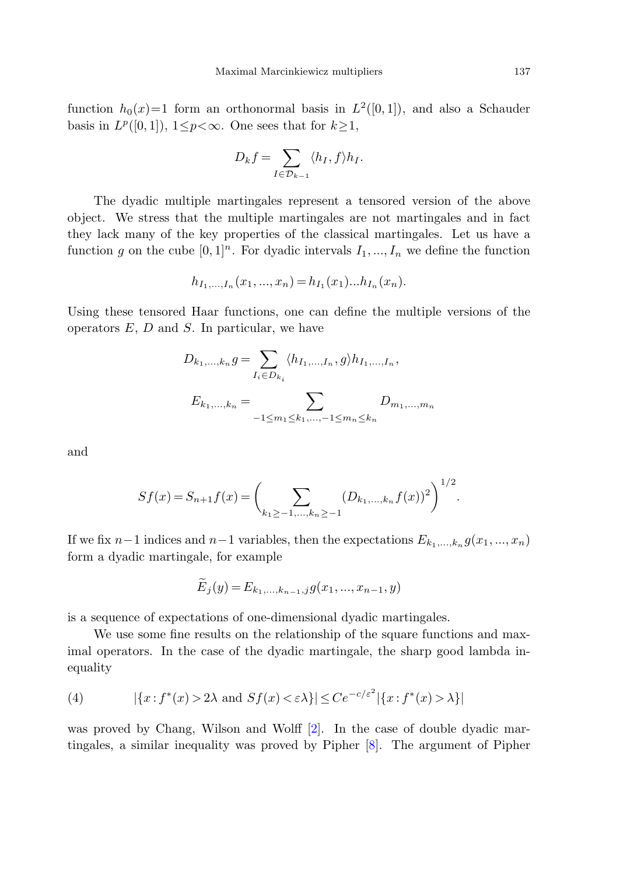function  $h_0(x)=1$  form an orthonormal basis in  $L^2([0,1])$ , and also a Schauder basis in  $L^p([0,1])$ ,  $1 \leq p \leq \infty$ . One sees that for  $k \geq 1$ ,

$$
D_k f = \sum_{I \in \mathcal{D}_{k-1}} \langle h_I, f \rangle h_I.
$$

The dyadic multiple martingales represent a tensored version of the above object. We stress that the multiple martingales are not martingales and in fact they lack many of the key properties of the classical martingales. Let us have a function g on the cube  $[0, 1]^n$ . For dyadic intervals  $I_1, ..., I_n$  we define the function

$$
h_{I_1,\ldots,I_n}(x_1,\ldots,x_n) = h_{I_1}(x_1)\ldots h_{I_n}(x_n).
$$

Using these tensored Haar functions, one can define the multiple versions of the operators  $E, D$  and  $S$ . In particular, we have

$$
D_{k_1,\dots,k_n}g = \sum_{I_i \in D_{k_i}} \langle h_{I_1,\dots,I_n}, g \rangle h_{I_1,\dots,I_n},
$$

$$
E_{k_1,\dots,k_n} = \sum_{-1 \le m_1 \le k_1,\dots,-1 \le m_n \le k_n} D_{m_1,\dots,m_n}
$$

and

$$
Sf(x) = S_{n+1}f(x) = \left(\sum_{k_1 \ge -1, ..., k_n \ge -1} (D_{k_1, ..., k_n}f(x))^2\right)^{1/2}.
$$

If we fix  $n-1$  indices and  $n-1$  variables, then the expectations  $E_{k_1,\,\dots,k_n}$  g( $x_1,\,\dots,x_n$ ) form a dyadic martingale, for example

$$
\tilde{E}_j(y) = E_{k_1,...,k_{n-1},j}g(x_1,...,x_{n-1},y)
$$

<span id="page-2-0"></span>is a sequence of expectations of one-dimensional dyadic martingales.

We use some fine results on the relationship of the square functions and maximal operators. In the case of the dyadic martingale, the sharp good lambda inequality

(4) 
$$
|\{x: f^*(x) > 2\lambda \text{ and } Sf(x) < \varepsilon \lambda\}| \le Ce^{-c/\varepsilon^2} |\{x: f^*(x) > \lambda\}|
$$

was proved by Chang, Wilson and Wolff [[2\]](#page-12-3). In the case of double dyadic martingales, a similar inequality was proved by Pipher [[8\]](#page-12-4). The argument of Pipher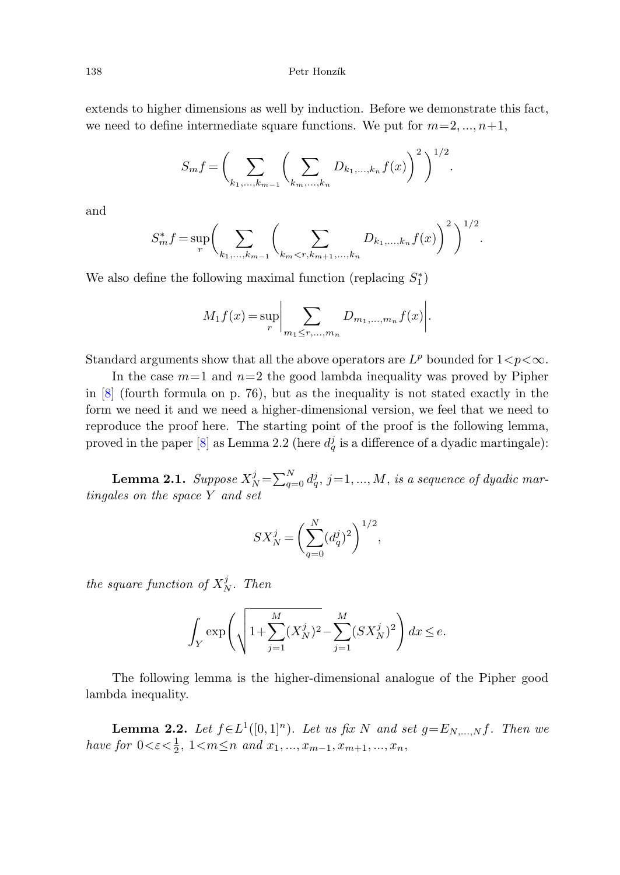#### 138 Petr Honzík

extends to higher dimensions as well by induction. Before we demonstrate this fact, we need to define intermediate square functions. We put for  $m=2, ..., n+1$ ,

$$
S_m f = \bigg(\sum_{k_1, ..., k_{m-1}} \bigg(\sum_{k_m, ..., k_n} D_{k_1, ..., k_n} f(x)\bigg)^2\bigg)^{1/2}.
$$

and

$$
S_m^* f = \sup_r \bigg( \sum_{k_1, \dots, k_{m-1}} \bigg( \sum_{k_m < r, k_{m+1}, \dots, k_n} D_{k_1, \dots, k_n} f(x) \bigg)^2 \bigg)^{1/2}.
$$

We also define the following maximal function (replacing  $S_1^*$ )

$$
M_1 f(x) = \sup_r \bigg| \sum_{m_1 \le r, ..., m_n} D_{m_1, ..., m_n} f(x) \bigg|.
$$

<span id="page-3-0"></span>Standard arguments show that all the above operators are  $L^p$  bounded for  $1 < p < \infty$ .

In the case  $m=1$  and  $n=2$  the good lambda inequality was proved by Pipher in [\[8](#page-12-4)] (fourth formula on p. 76), but as the inequality is not stated exactly in the form we need it and we need a higher-dimensional version, we feel that we need to reproduce the proof here. The starting point of the proof is the following lemma, proved in the paper [\[8](#page-12-4)] as Lemma 2.2 (here  $d_q^j$  is a difference of a dyadic martingale):

**Lemma 2.1.** Suppose  $X_N^j = \sum_{q=0}^N d_q^j$ ,  $j = 1, ..., M$ , is a sequence of dyadic martingales on the space Y and set

$$
SX_N^j = \left(\sum_{q=0}^N (d_q^j)^2\right)^{1/2},
$$

<span id="page-3-1"></span>the square function of  $X_N^j$ . Then

$$
\int_Y \exp\!\left( \sqrt{1\!+\!\sum_{j=1}^M (X_N^j)^2 \!-\! \sum_{j=1}^M (SX_N^j)^2} \right) dx \le e.
$$

The following lemma is the higher-dimensional analogue of the Pipher good lambda inequality.

**Lemma 2.2.** Let  $f \in L^1([0,1]^n)$ . Let us fix N and set  $g = E_{N,...,N}f$ . Then we have for  $0 < \varepsilon < \frac{1}{2}$ ,  $1 < m \le n$  and  $x_1, ..., x_{m-1}, x_{m+1}, ..., x_n$ ,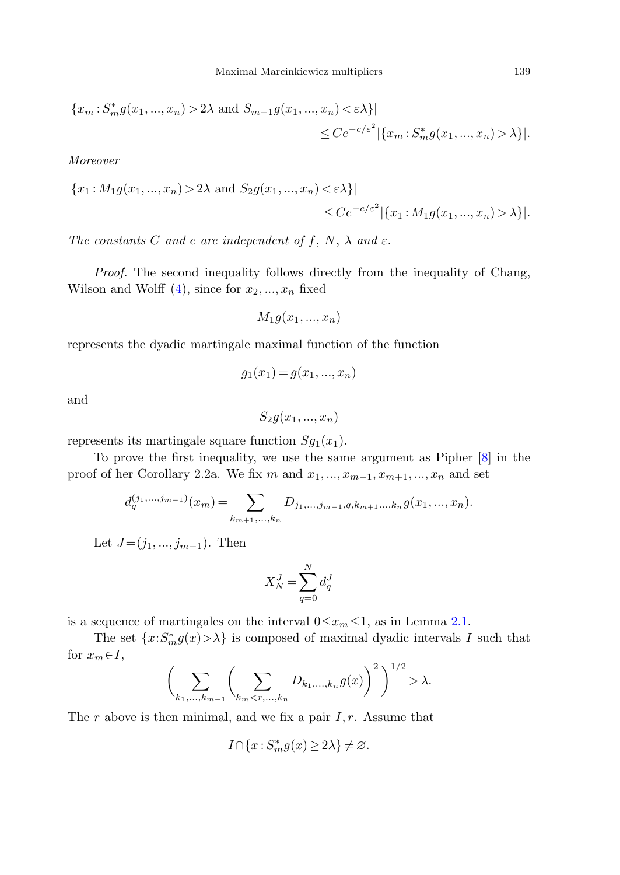$$
|\{x_m : S_m^* g(x_1, ..., x_n) > 2\lambda \text{ and } S_{m+1} g(x_1, ..., x_n) < \varepsilon \lambda\}|
$$
  
 $\leq Ce^{-c/\varepsilon^2} |\{x_m : S_m^* g(x_1, ..., x_n) > \lambda\}|.$ 

Moreover

$$
|\{x_1: M_1g(x_1,...,x_n) > 2\lambda \text{ and } S_2g(x_1,...,x_n) < \varepsilon \lambda\}|
$$
  
 $\leq Ce^{-c/\varepsilon^2} |\{x_1: M_1g(x_1,...,x_n) > \lambda\}|.$ 

The constants C and c are independent of f, N,  $\lambda$  and  $\varepsilon$ .

Proof. The second inequality follows directly from the inequality of Chang, Wilson and Wolff  $(4)$  $(4)$ , since for  $x_2, ..., x_n$  fixed

$$
M_1g(x_1,...,x_n)
$$

represents the dyadic martingale maximal function of the function

$$
g_1(x_1) = g(x_1, ..., x_n)
$$

and

 $S_2g(x_1, ..., x_n)$ 

represents its martingale square function  $Sg_1(x_1)$ .

To prove the first inequality, we use the same argument as Pipher [[8\]](#page-12-4) in the proof of her Corollary 2.2a. We fix m and  $x_1, ..., x_{m-1}, x_{m+1}, ..., x_n$  and set

$$
d_q^{(j_1,...,j_{m-1})}(x_m) = \sum_{k_{m+1},...,k_n} D_{j_1,...,j_{m-1},q,k_{m+1}...,k_n} g(x_1,...,x_n).
$$

Let  $J=(j_1, ..., j_{m-1})$ . Then

$$
X_N^J = \sum_{q=0}^N d_q^J
$$

is a sequence of martingales on the interval  $0 \leq x_m \leq 1$ , as in Lemma [2.1.](#page-3-0)

The set  $\{x: S_m^*g(x) > \lambda\}$  is composed of maximal dyadic intervals I such that for  $x_m \in I$ ,

$$
\bigg(\sum_{k_1,\dots,k_{m-1}}\bigg(\sum_{k_m \lambda.
$$

The r above is then minimal, and we fix a pair  $I, r$ . Assume that

$$
I\!\cap\!\{x\!:\!S_m^*g(x)\!\ge\!2\lambda\}\!\ne\!\varnothing.
$$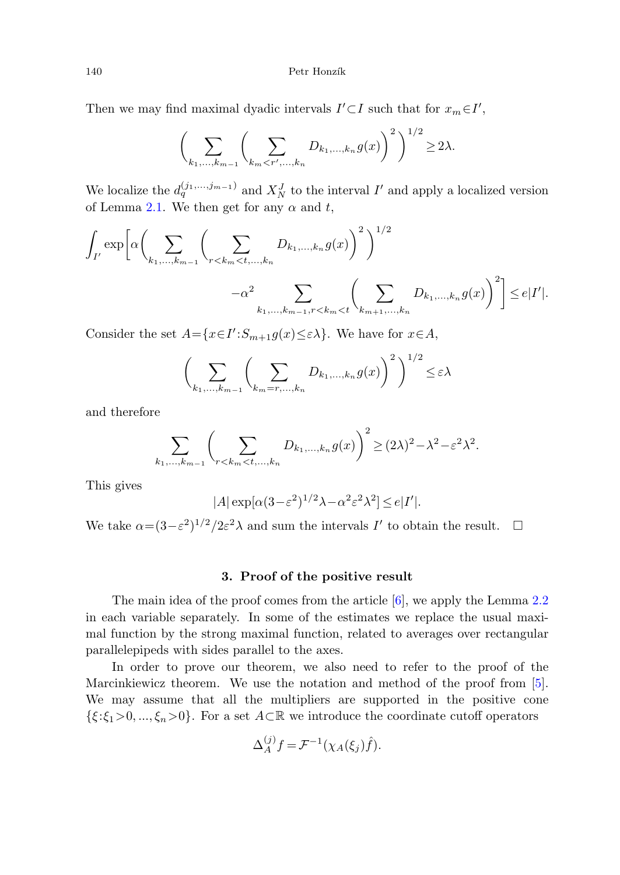## 140 Petr Honzík

Then we may find maximal dyadic intervals  $I' \subset I$  such that for  $x_m \in I'$ ,

$$
\left(\sum_{k_1,\dots,k_{m-1}}\left(\sum_{k_m < r',\dots,k_n} D_{k_1,\dots,k_n} g(x)\right)^2\right)^{1/2} \ge 2\lambda.
$$

We localize the  $d_q^{(j_1,...,j_{m-1})}$  and  $X_N^J$  to the interval  $I'$  and apply a localized version of Lemma [2.1](#page-3-0). We then get for any  $\alpha$  and t,

$$
\int_{I'} \exp \left[ \alpha \left( \sum_{k_1, ..., k_{m-1}} \left( \sum_{r < k_m < t, ..., k_n} D_{k_1, ..., k_n} g(x) \right)^2 \right)^{1/2} -\alpha^2 \sum_{k_1, ..., k_{m-1}, r < k_m < t} \left( \sum_{k_{m+1}, ..., k_n} D_{k_1, ..., k_n} g(x) \right)^2 \right] \le e|I'|.
$$

Consider the set  $A = \{x \in I' : S_{m+1}g(x) \leq \varepsilon \lambda\}$ . We have for  $x \in A$ ,

$$
\left(\sum_{k_1,\dots,k_{m-1}}\left(\sum_{k_m=r,\dots,k_n}D_{k_1,\dots,k_n}g(x)\right)^2\right)^{1/2}\leq\varepsilon\lambda
$$

and therefore

$$
\sum_{k_1,\ldots,k_{m-1}} \left( \sum_{r < k_m < t,\ldots,k_n} D_{k_1,\ldots,k_n} g(x) \right)^2 \geq (2\lambda)^2 - \lambda^2 - \varepsilon^2 \lambda^2.
$$

This gives

$$
|A| \exp[\alpha (3 - \varepsilon^2)^{1/2} \lambda - \alpha^2 \varepsilon^2 \lambda^2] \le e |I'|.
$$

We take  $\alpha = (3 - \varepsilon^2)^{1/2} / 2\varepsilon^2 \lambda$  and sum the intervals I' to obtain the result.  $\Box$ 

# **3. Proof of the positive result**

The main idea of the proof comes from the article [\[6](#page-12-1)], we apply the Lemma [2.2](#page-3-1) in each variable separately. In some of the estimates we replace the usual maximal function by the strong maximal function, related to averages over rectangular parallelepipeds with sides parallel to the axes.

In order to prove our theorem, we also need to refer to the proof of the Marcinkiewicz theorem. We use the notation and method of the proof from [\[5](#page-12-5)]. We may assume that all the multipliers are supported in the positive cone  $\{\xi:\xi_1>0,\ldots,\xi_n>0\}$ . For a set  $A\subset\mathbb{R}$  we introduce the coordinate cutoff operators

$$
\Delta_A^{(j)} f = \mathcal{F}^{-1}(\chi_A(\xi_j)\hat{f}).
$$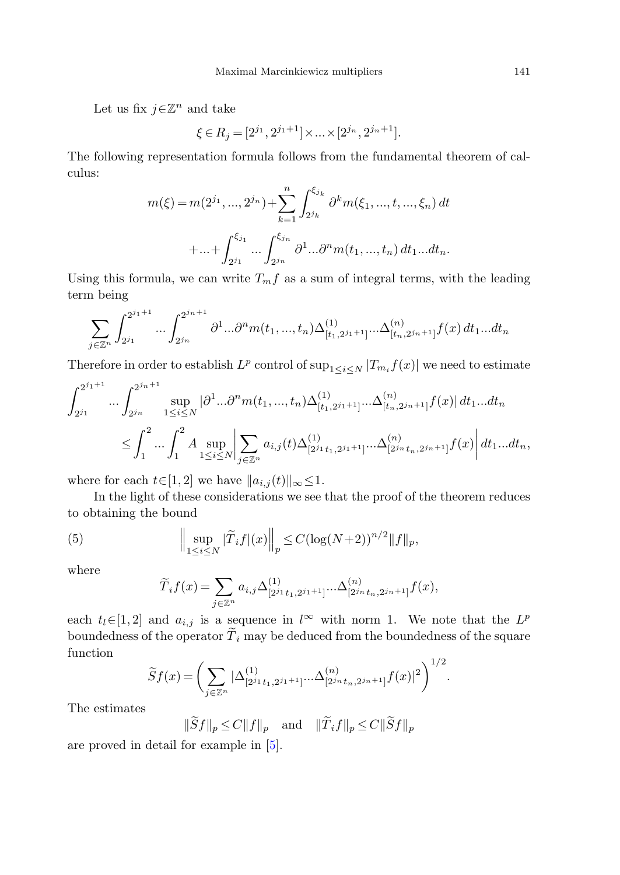Let us fix  $j \in \mathbb{Z}^n$  and take

$$
\xi \in R_j = [2^{j_1}, 2^{j_1+1}] \times \dots \times [2^{j_n}, 2^{j_n+1}].
$$

The following representation formula follows from the fundamental theorem of calculus:

$$
m(\xi) = m(2^{j_1}, ..., 2^{j_n}) + \sum_{k=1}^n \int_{2^{j_k}}^{\xi_{j_k}} \partial^k m(\xi_1, ..., t, ..., \xi_n) dt
$$

$$
+ ... + \int_{2^{j_1}}^{\xi_{j_1}} ... \int_{2^{j_n}}^{\xi_{j_n}} \partial^1 ... \partial^n m(t_1, ..., t_n) dt_1 ... dt_n.
$$

Using this formula, we can write  $T_m f$  as a sum of integral terms, with the leading term being

$$
\sum_{j\in\mathbb{Z}^n} \int_{2^{j_1}}^{2^{j_1+1}} \dots \int_{2^{j_n}}^{2^{j_n+1}} \partial^1 \dots \partial^n m(t_1, ..., t_n) \Delta_{[t_1, 2^{j_1+1}]}^{(1)} \dots \Delta_{[t_n, 2^{j_n+1}]}^{(n)} f(x) dt_1 \dots dt_n
$$

Therefore in order to establish  $L^p$  control of  $\sup_{1 \le i \le N} |T_{m_i} f(x)|$  we need to estimate

$$
\int_{2^{j_1}}^{2^{j_1+1}} \dots \int_{2^{j_n}}^{2^{j_n+1}} \sup_{1 \le i \le N} |\partial^1 \dots \partial^n m(t_1, ..., t_n) \Delta_{[t_1, 2^{j_1+1}]}^{(1)} \dots \Delta_{[t_n, 2^{j_n+1}]}^{(n)} f(x)| dt_1 \dots dt_n
$$
  

$$
\le \int_1^2 \dots \int_1^2 A \sup_{1 \le i \le N} \left| \sum_{j \in \mathbb{Z}^n} a_{i,j}(t) \Delta_{[2^{j_1}t_1, 2^{j_1+1}]}^{(1)} \dots \Delta_{[2^{j_n}t_n, 2^{j_n+1}]}^{(n)} f(x) \right| dt_1 \dots dt_n,
$$

where for each  $t\in[1,2]$  we have  $||a_{i,j}(t)||_{\infty}\leq 1$ .

In the light of these considerations we see that the proof of the theorem reduces to obtaining the bound

(5) 
$$
\Big\| \sup_{1 \le i \le N} |\widetilde{T}_i f|(x) \Big\|_p \le C(\log(N+2))^{n/2} \|f\|_p,
$$

where

$$
\widetilde{T}_i f(x) = \sum_{j \in \mathbb{Z}^n} a_{i,j} \Delta^{(1)}_{[2^{j_1} t_1, 2^{j_1+1}]} ... \Delta^{(n)}_{[2^{j_n} t_n, 2^{j_n+1}]} f(x),
$$

each  $t_l \in [1,2]$  and  $a_{i,j}$  is a sequence in l<sup>∞</sup> with norm 1. We note that the  $L^p$ boundedness of the operator  $\widetilde{T}_i$  may be deduced from the boundedness of the square function

$$
\widetilde{S}f(x) = \left(\sum_{j\in\mathbb{Z}^n} |\Delta^{(1)}_{[2^{j_1}t_1,2^{j_1+1}]} \cdots \Delta^{(n)}_{[2^{j_n}t_n,2^{j_n+1}]} f(x)|^2\right)^{1/2}.
$$

The estimates

$$
\|\widetilde{S}f\|_{p} \le C\|f\|_{p} \quad \text{and} \quad \|\widetilde{T}_{i}f\|_{p} \le C\|\widetilde{S}f\|_{p}
$$

are proved in detail for example in [\[5](#page-12-5)].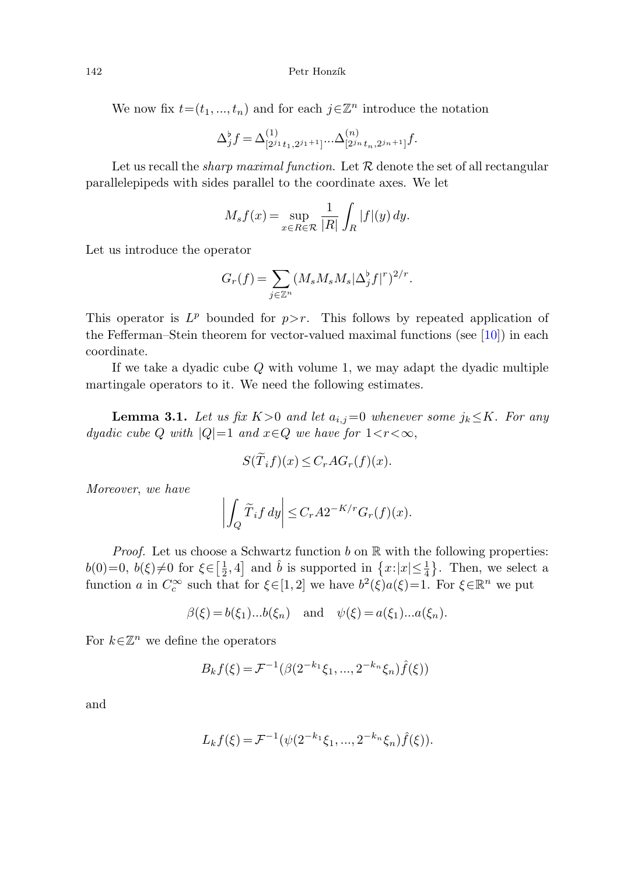We now fix  $t=(t_1, ..., t_n)$  and for each  $i\in\mathbb{Z}^n$  introduce the notation

$$
\Delta_j^{\flat} f = \Delta_{[2^{j_1}t_1, 2^{j_1+1}]}^{(1)} \dots \Delta_{[2^{j_n}t_n, 2^{j_n+1}]}^{(n)} f.
$$

Let us recall the *sharp maximal function*. Let  $R$  denote the set of all rectangular parallelepipeds with sides parallel to the coordinate axes. We let

$$
M_s f(x) = \sup_{x \in R \in \mathcal{R}} \frac{1}{|R|} \int_R |f|(y) \, dy.
$$

Let us introduce the operator

$$
G_r(f) = \sum_{j \in \mathbb{Z}^n} (M_s M_s M_s |\Delta_j^{\flat} f|^r)^{2/r}.
$$

<span id="page-7-0"></span>This operator is  $L^p$  bounded for  $p > r$ . This follows by repeated application of the Fefferman–Stein theorem for vector-valued maximal functions (see [[10\]](#page-12-6)) in each coordinate.

If we take a dyadic cube Q with volume 1, we may adapt the dyadic multiple martingale operators to it. We need the following estimates.

**Lemma 3.1.** Let us fix  $K>0$  and let  $a_{i,j}=0$  whenever some  $j_k \leq K$ . For any dyadic cube Q with  $|Q|=1$  and  $x \in Q$  we have for  $1 < r < \infty$ ,

$$
S(\overline{T}_i f)(x) \leq C_r A G_r(f)(x).
$$

Moreover, we have

$$
\left| \int_Q \widetilde{T}_i f \, dy \right| \le C_r A 2^{-K/r} G_r(f)(x).
$$

*Proof.* Let us choose a Schwartz function  $b$  on  $\mathbb R$  with the following properties:  $b(0)=0, b(\xi) \neq 0$  for  $\xi \in \left[\frac{1}{2}, 4\right]$  and  $\hat{b}$  is supported in  $\left\{x : |x| \leq \frac{1}{4}\right\}$ . Then, we select a function a in  $C_c^{\infty}$  such that for  $\xi \in [1,2]$  we have  $b^2(\xi)a(\xi)=1$ . For  $\xi \in \mathbb{R}^n$  we put

$$
\beta(\xi) = b(\xi_1)...b(\xi_n)
$$
 and  $\psi(\xi) = a(\xi_1)...a(\xi_n)$ .

For  $k\in\mathbb{Z}^n$  we define the operators

$$
B_k f(\xi) = \mathcal{F}^{-1}(\beta(2^{-k_1}\xi_1, ..., 2^{-k_n}\xi_n)\hat{f}(\xi))
$$

and

$$
L_k f(\xi) = \mathcal{F}^{-1}(\psi(2^{-k_1}\xi_1, ..., 2^{-k_n}\xi_n)\hat{f}(\xi)).
$$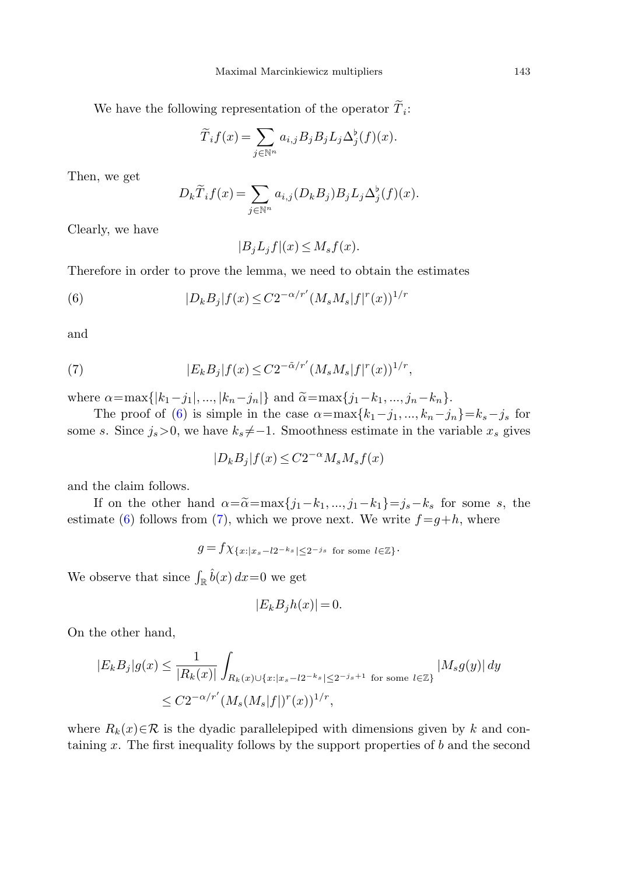We have the following representation of the operator  $\tilde{T}_i$ :

$$
\widetilde{T}_i f(x) = \sum_{j \in \mathbb{N}^n} a_{i,j} B_j B_j L_j \Delta_j^{\flat}(f)(x).
$$

<span id="page-8-0"></span>Then, we get

$$
D_k \widetilde{T}_i f(x) = \sum_{j \in \mathbb{N}^n} a_{i,j} (D_k B_j) B_j L_j \Delta_j^{\flat}(f)(x).
$$

Clearly, we have

 $|B_i L_i f|(x) \leq M_s f(x)$ .

<span id="page-8-1"></span>Therefore in order to prove the lemma, we need to obtain the estimates

(6) 
$$
|D_k B_j| f(x) \leq C2^{-\alpha/r'} (M_s M_s |f|^r(x))^{1/r}
$$

and

(7) 
$$
|E_k B_j| f(x) \leq C 2^{-\tilde{\alpha}/r'} (M_s M_s |f|^r(x))^{1/r},
$$

where  $\alpha = \max\{|k_1 - j_1|, ..., |k_n - j_n|\}$  and  $\tilde{\alpha} = \max\{j_1 - k_1, ..., j_n - k_n\}.$ 

The proof of [\(6](#page-8-0)) is simple in the case  $\alpha = \max\{k_1 - j_1, ..., k_n - j_n\} = k_s - j_s$  for some s. Since  $j_s>0$ , we have  $k_s \neq -1$ . Smoothness estimate in the variable  $x_s$  gives

$$
|D_k B_j| f(x) \le C2^{-\alpha} M_s M_s f(x)
$$

and the claim follows.

If on the other hand  $\alpha = \alpha = \max\{j_1 - k_1, ..., j_1 - k_1\} = j_s - k_s$  for some s, the estimate [\(6](#page-8-0)) follows from ([7\)](#page-8-1), which we prove next. We write  $f = g+h$ , where

$$
g = f \chi_{\{x: |x_s - l2^{-k_s}| \leq 2^{-j_s} \text{ for some } l \in \mathbb{Z}\}}.
$$

We observe that since  $\int_{\mathbb{R}} \hat{b}(x) dx = 0$  we get

$$
|E_k B_j h(x)| = 0.
$$

On the other hand,

$$
|E_k B_j|g(x) \le \frac{1}{|R_k(x)|} \int_{R_k(x) \cup \{x: |x_s - l2^{-k_s}| \le 2^{-j_s+1} \text{ for some } l \in \mathbb{Z}\}} |M_s g(y)| dy
$$
  

$$
\le C2^{-\alpha/r'} (M_s(M_s|f|)^r(x))^{1/r},
$$

where  $R_k(x) \in \mathcal{R}$  is the dyadic parallelepiped with dimensions given by k and containing x. The first inequality follows by the support properties of b and the second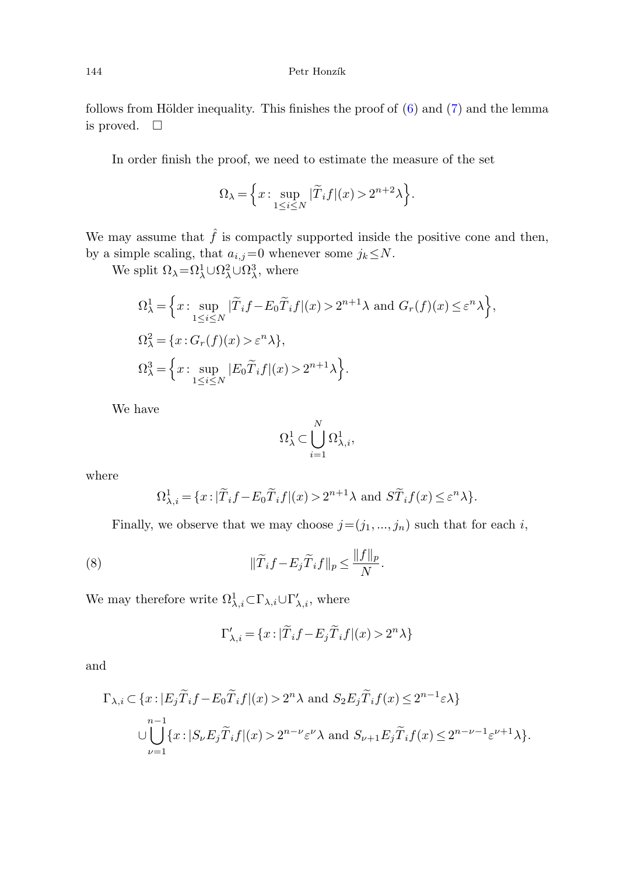follows from Hölder inequality. This finishes the proof of  $(6)$  $(6)$  and  $(7)$  $(7)$  and the lemma is proved.  $\Box$ 

In order finish the proof, we need to estimate the measure of the set

$$
\Omega_{\lambda} = \left\{ x : \sup_{1 \le i \le N} |\widetilde{T}_i f|(x) > 2^{n+2}\lambda \right\}.
$$

We may assume that  $\hat{f}$  is compactly supported inside the positive cone and then, by a simple scaling, that  $a_{i,j}=0$  whenever some  $j_k \leq N$ .

We split  $\Omega_{\lambda} = \Omega_{\lambda}^{1} \cup \Omega_{\lambda}^{2} \cup \Omega_{\lambda}^{3}$ , where

$$
\Omega^1_\lambda = \Big\{ x : \sup_{1 \le i \le N} |\widetilde{T}_i f - E_0 \widetilde{T}_i f|(x) > 2^{n+1} \lambda \text{ and } G_r(f)(x) \le \varepsilon^n \lambda \Big\},\
$$
  

$$
\Omega^2_\lambda = \{ x : G_r(f)(x) > \varepsilon^n \lambda \},\
$$
  

$$
\Omega^3_\lambda = \Big\{ x : \sup_{1 \le i \le N} |E_0 \widetilde{T}_i f|(x) > 2^{n+1} \lambda \Big\}.
$$

We have

$$
\Omega^1_\lambda \subset \bigcup_{i=1}^N \Omega^1_{\lambda,i},
$$

<span id="page-9-0"></span>where

$$
\Omega_{\lambda,i}^1 = \{ x : |\widetilde{T}_i f - E_0 \widetilde{T}_i f|(x) > 2^{n+1}\lambda \text{ and } S\widetilde{T}_i f(x) \le \varepsilon^n \lambda \}.
$$

Finally, we observe that we may choose  $j=(j_1, ..., j_n)$  such that for each i,

(8) 
$$
\|\widetilde{T}_i f - E_j \widetilde{T}_i f\|_p \le \frac{\|f\|_p}{N}.
$$

We may therefore write  $\Omega^1_{\lambda,i} \subset \Gamma_{\lambda,i} \cup \Gamma'_{\lambda,i}$ , where

$$
\Gamma'_{\lambda,i} = \{ x : |\widetilde{T}_i f - E_j \widetilde{T}_i f|(x) > 2^n \lambda \}
$$

and

$$
\Gamma_{\lambda,i} \subset \{x : |E_j \tilde{T}_i f - E_0 \tilde{T}_i f|(x) > 2^n \lambda \text{ and } S_2 E_j \tilde{T}_i f(x) \le 2^{n-1} \varepsilon \lambda \}
$$
  
\n
$$
\cup \bigcup_{\nu=1}^{n-1} \{x : |S_{\nu} E_j \tilde{T}_i f|(x) > 2^{n-\nu} \varepsilon^{\nu} \lambda \text{ and } S_{\nu+1} E_j \tilde{T}_i f(x) \le 2^{n-\nu-1} \varepsilon^{\nu+1} \lambda \}.
$$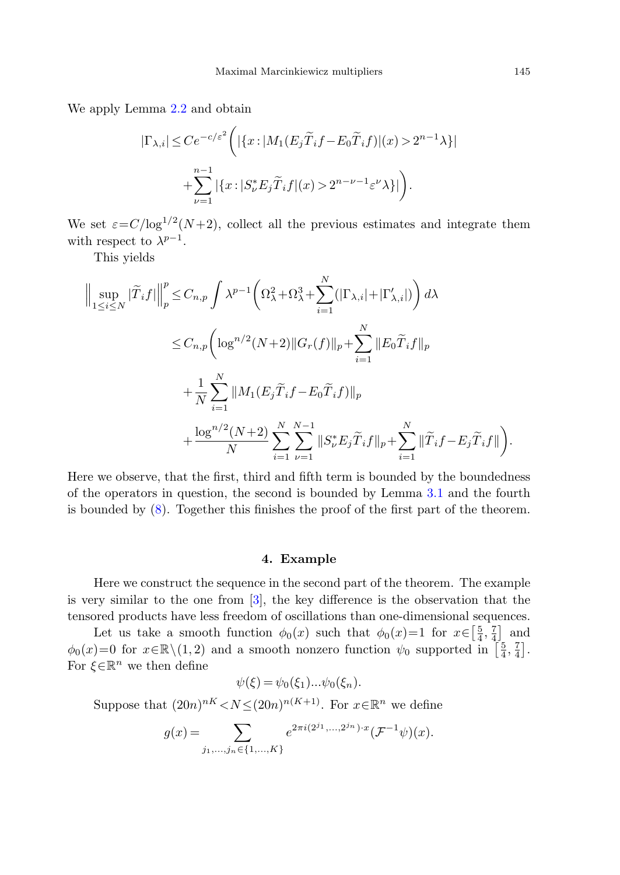We apply Lemma [2.2](#page-3-1) and obtain

$$
|\Gamma_{\lambda,i}| \le Ce^{-c/\varepsilon^2} \left( |\{x : |M_1(E_j \widetilde{T}_i f - E_0 \widetilde{T}_i f]|(x) > 2^{n-1}\lambda \}| + \sum_{\nu=1}^{n-1} |\{x : |S_{\nu}^* E_j \widetilde{T}_i f|(x) > 2^{n-\nu-1} \varepsilon^{\nu} \lambda \}| \right).
$$

We set  $\varepsilon = C/\log^{1/2}(N+2)$ , collect all the previous estimates and integrate them with respect to  $\lambda^{p-1}$ .

This yields

$$
\left\| \sup_{1 \leq i \leq N} |\tilde{T}_{i}f| \right\|_{p}^{p} \leq C_{n,p} \int \lambda^{p-1} \left( \Omega_{\lambda}^{2} + \Omega_{\lambda}^{3} + \sum_{i=1}^{N} (|\Gamma_{\lambda,i}| + |\Gamma_{\lambda,i}'|) \right) d\lambda
$$
  

$$
\leq C_{n,p} \left( \log^{n/2} (N+2) \|G_{r}(f)\|_{p} + \sum_{i=1}^{N} \|E_{0} \tilde{T}_{i}f\|_{p} + \frac{1}{N} \sum_{i=1}^{N} \|M_{1}(E_{j} \tilde{T}_{i}f - E_{0} \tilde{T}_{i}f)\|_{p} + \frac{\log^{n/2} (N+2)}{N} \sum_{i=1}^{N} \sum_{\nu=1}^{N-1} \|S_{\nu}^{*} E_{j} \tilde{T}_{i}f\|_{p} + \sum_{i=1}^{N} \|\tilde{T}_{i}f - E_{j} \tilde{T}_{i}f\| \right).
$$

Here we observe, that the first, third and fifth term is bounded by the boundedness of the operators in question, the second is bounded by Lemma [3.1](#page-7-0) and the fourth is bounded by ([8\)](#page-9-0). Together this finishes the proof of the first part of the theorem.

#### **4. Example**

Here we construct the sequence in the second part of the theorem. The example is very similar to the one from [[3\]](#page-12-0), the key difference is the observation that the tensored products have less freedom of oscillations than one-dimensional sequences.

Let us take a smooth function  $\phi_0(x)$  such that  $\phi_0(x)=1$  for  $x \in \left[\frac{5}{4}, \frac{7}{4}\right]$  and  $\phi_0(x)=0$  for  $x \in \mathbb{R} \setminus (1,2)$  and a smooth nonzero function  $\psi_0$  supported in  $\left[\frac{5}{4}, \frac{7}{4}\right]$ . For  $\xi \in \mathbb{R}^n$  we then define

$$
\psi(\xi) = \psi_0(\xi_1)...\psi_0(\xi_n).
$$

Suppose that  $(20n)^{nK} < N \leq (20n)^{n(K+1)}$ . For  $x \in \mathbb{R}^n$  we define

$$
g(x) = \sum_{j_1,\dots,j_n \in \{1,\dots,K\}} e^{2\pi i (2^{j_1},\dots,2^{j_n}) \cdot x} (\mathcal{F}^{-1} \psi)(x).
$$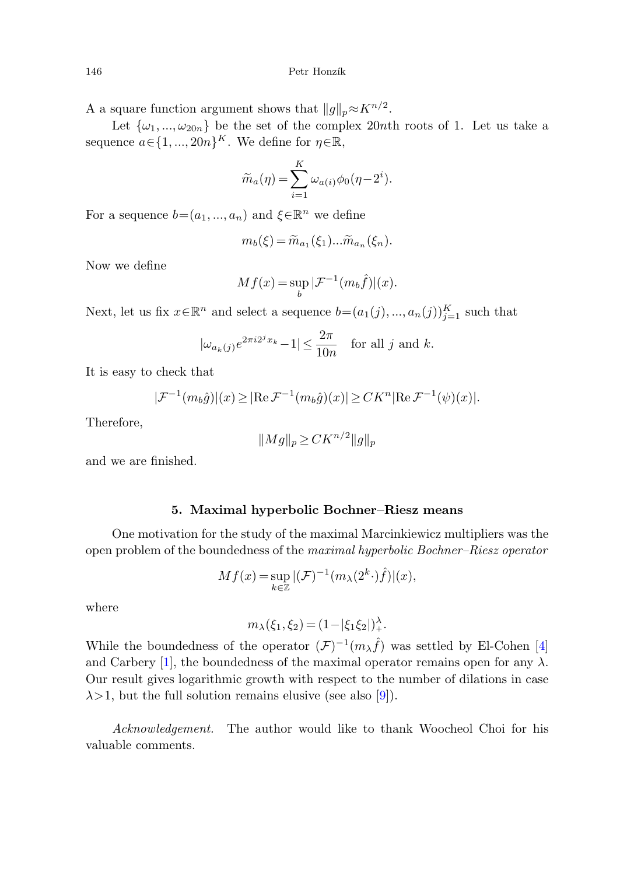A a square function argument shows that  $||q||_p \approx K^{n/2}$ .

Let  $\{\omega_1, ..., \omega_{20n}\}$  be the set of the complex 20nth roots of 1. Let us take a sequence  $a \in \{1, ..., 20n\}^K$ . We define for  $\eta \in \mathbb{R}$ ,

$$
\widetilde{m}_a(\eta) = \sum_{i=1}^K \omega_{a(i)} \phi_0(\eta - 2^i).
$$

For a sequence  $b=(a_1, ..., a_n)$  and  $\xi \in \mathbb{R}^n$  we define

$$
m_b(\xi) = \widetilde{m}_{a_1}(\xi_1) \dots \widetilde{m}_{a_n}(\xi_n).
$$

Now we define

$$
Mf(x) = \sup_{b} |\mathcal{F}^{-1}(m_b \hat{f})|(x).
$$

Next, let us fix  $x \in \mathbb{R}^n$  and select a sequence  $b = (a_1(j), ..., a_n(j))_{j=1}^K$  such that

$$
|\omega_{a_k(j)}e^{2\pi i2^j x_k} - 1| \le \frac{2\pi}{10n} \quad \text{for all } j \text{ and } k.
$$

It is easy to check that

$$
|\mathcal{F}^{-1}(m_b \hat{g})|(x) \geq |\text{Re }\mathcal{F}^{-1}(m_b \hat{g})(x)| \geq CK^n |\text{Re }\mathcal{F}^{-1}(\psi)(x)|.
$$

Therefore,

$$
||Mg||_p \geq CK^{n/2}||g||_p
$$

and we are finished.

## **5. Maximal hyperbolic Bochner–Riesz means**

One motivation for the study of the maximal Marcinkiewicz multipliers was the open problem of the boundedness of the maximal hyperbolic Bochner–Riesz operator

$$
Mf(x) = \sup_{k \in \mathbb{Z}} |(\mathcal{F})^{-1}(m_\lambda(2^k \cdot)\hat{f})|(x),
$$

where

$$
m_{\lambda}(\xi_1, \xi_2) = (1 - |\xi_1 \xi_2|)_{+}^{\lambda}.
$$

While the boundedness of the operator  $(\mathcal{F})^{-1}(m_{\lambda} \hat{f})$  was settled by El-Cohen [[4\]](#page-12-7) and Carbery [[1\]](#page-12-8), the boundedness of the maximal operator remains open for any  $\lambda$ . Our result gives logarithmic growth with respect to the number of dilations in case  $\lambda$ >1, but the full solution remains elusive (see also [\[9](#page-12-9)]).

Acknowledgement. The author would like to thank Woocheol Choi for his valuable comments.